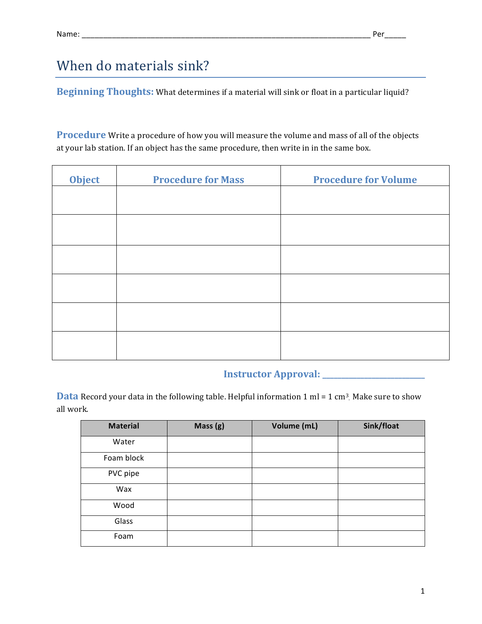## When do materials sink?

**Beginning Thoughts:** What determines if a material will sink or float in a particular liquid?

**Procedure** Write a procedure of how you will measure the volume and mass of all of the objects at your lab station. If an object has the same procedure, then write in in the same box.

| <b>Object</b> | <b>Procedure for Mass</b> | <b>Procedure for Volume</b> |
|---------------|---------------------------|-----------------------------|
|               |                           |                             |
|               |                           |                             |
|               |                           |                             |
|               |                           |                             |
|               |                           |                             |
|               |                           |                             |

## **Instructor Approval: \_\_\_\_\_\_\_\_\_\_\_\_\_\_\_\_\_\_\_\_\_\_**

**Data** Record your data in the following table. Helpful information  $1 \text{ ml} = 1 \text{ cm}^3$ . Make sure to show all work.

| <b>Material</b> | Mass (g) | Volume (mL) | Sink/float |
|-----------------|----------|-------------|------------|
| Water           |          |             |            |
| Foam block      |          |             |            |
| PVC pipe        |          |             |            |
| Wax             |          |             |            |
| Wood            |          |             |            |
| Glass           |          |             |            |
| Foam            |          |             |            |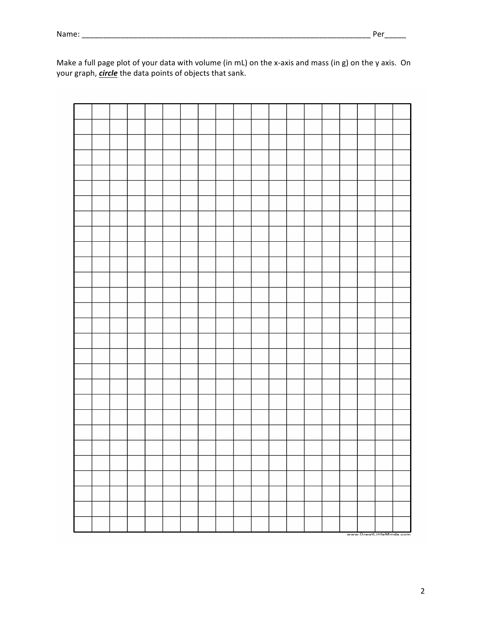|  |  |  |  |  |  |  |  |  | www.GreatLittleMinds.com |
|--|--|--|--|--|--|--|--|--|--------------------------|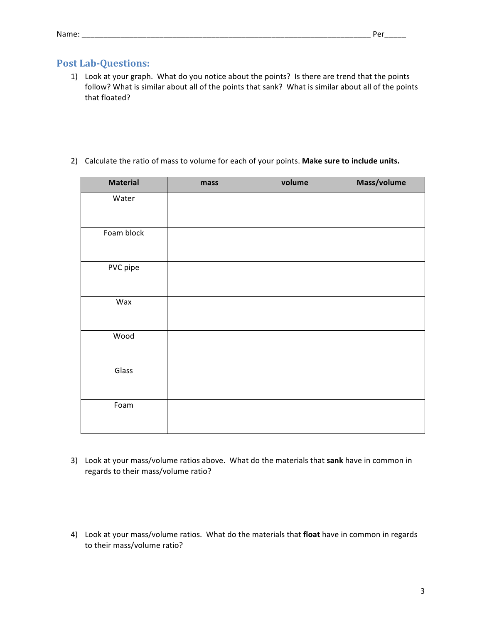## **Post Lab-Questions:**

- 1) Look at your graph. What do you notice about the points? Is there are trend that the points follow? What is similar about all of the points that sank? What is similar about all of the points that floated?
- 2) Calculate the ratio of mass to volume for each of your points. Make sure to include units.

| <b>Material</b> | mass | volume | Mass/volume |
|-----------------|------|--------|-------------|
| Water           |      |        |             |
|                 |      |        |             |
| Foam block      |      |        |             |
|                 |      |        |             |
| PVC pipe        |      |        |             |
|                 |      |        |             |
| Wax             |      |        |             |
|                 |      |        |             |
| Wood            |      |        |             |
|                 |      |        |             |
| Glass           |      |        |             |
|                 |      |        |             |
| Foam            |      |        |             |
|                 |      |        |             |

- 3) Look at your mass/volume ratios above. What do the materials that sank have in common in regards to their mass/volume ratio?
- 4) Look at your mass/volume ratios. What do the materials that float have in common in regards to their mass/volume ratio?